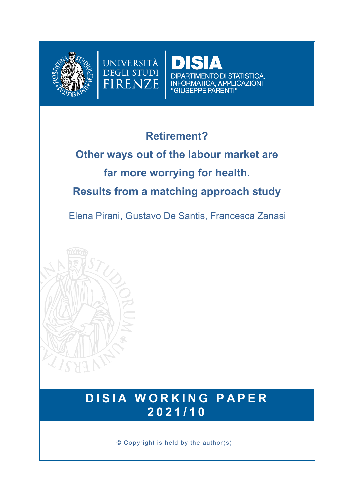



# **Retirement?**

UNIVERSITÀ **DEGLI STUDI** 

FIRENZE

# **Other ways out of the labour market are far more worrying for health. Results from a matching approach study**

Elena Pirani, Gustavo De Santis, Francesca Zanasi



# **DISIA WORKING PAPER 2 0 2 1 / 1 0**

© Copyright is held by the author(s).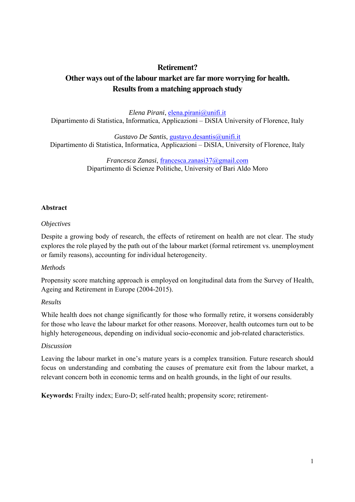### **Retirement? Other ways out of the labour market are far more worrying for health. Results from a matching approach study**

*Elena Pirani*, elena.pirani@unifi.it Dipartimento di Statistica, Informatica, Applicazioni – DiSIA University of Florence, Italy

*Gustavo De Santis*, gustavo.desantis@unifi.it Dipartimento di Statistica, Informatica, Applicazioni – DiSIA, University of Florence, Italy

> *Francesca Zanasi*, francesca.zanasi37@gmail.com Dipartimento di Scienze Politiche, University of Bari Aldo Moro

#### **Abstract**

#### *Objectives*

Despite a growing body of research, the effects of retirement on health are not clear. The study explores the role played by the path out of the labour market (formal retirement vs. unemployment or family reasons), accounting for individual heterogeneity.

#### *Methods*

Propensity score matching approach is employed on longitudinal data from the Survey of Health, Ageing and Retirement in Europe (2004-2015).

#### *Results*

While health does not change significantly for those who formally retire, it worsens considerably for those who leave the labour market for other reasons. Moreover, health outcomes turn out to be highly heterogeneous, depending on individual socio-economic and job-related characteristics.

#### *Discussion*

Leaving the labour market in one's mature years is a complex transition. Future research should focus on understanding and combating the causes of premature exit from the labour market, a relevant concern both in economic terms and on health grounds, in the light of our results.

**Keywords:** Frailty index; Euro-D; self-rated health; propensity score; retirement-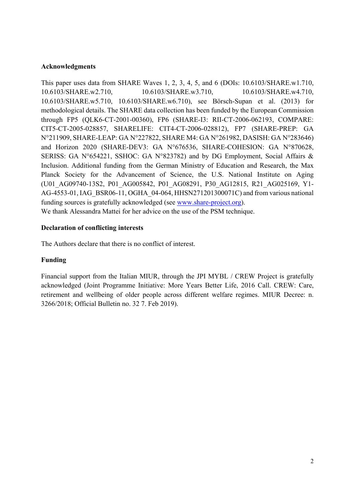#### **Acknowledgments**

This paper uses data from SHARE Waves 1, 2, 3, 4, 5, and 6 (DOIs: 10.6103/SHARE.w1.710, 10.6103/SHARE.w2.710, 10.6103/SHARE.w3.710, 10.6103/SHARE.w4.710, 10.6103/SHARE.w5.710, 10.6103/SHARE.w6.710), see Börsch-Supan et al. (2013) for methodological details. The SHARE data collection has been funded by the European Commission through FP5 (QLK6-CT-2001-00360), FP6 (SHARE-I3: RII-CT-2006-062193, COMPARE: CIT5-CT-2005-028857, SHARELIFE: CIT4-CT-2006-028812), FP7 (SHARE-PREP: GA N°211909, SHARE-LEAP: GA N°227822, SHARE M4: GA N°261982, DASISH: GA N°283646) and Horizon 2020 (SHARE-DEV3: GA N°676536, SHARE-COHESION: GA N°870628, SERISS: GA N°654221, SSHOC: GA N°823782) and by DG Employment, Social Affairs & Inclusion. Additional funding from the German Ministry of Education and Research, the Max Planck Society for the Advancement of Science, the U.S. National Institute on Aging (U01\_AG09740-13S2, P01\_AG005842, P01\_AG08291, P30\_AG12815, R21\_AG025169, Y1- AG-4553-01, IAG\_BSR06-11, OGHA\_04-064, HHSN271201300071C) and from various national funding sources is gratefully acknowledged (see www.share-project.org). We thank Alessandra Mattei for her advice on the use of the PSM technique.

#### **Declaration of conflicting interests**

The Authors declare that there is no conflict of interest.

#### **Funding**

Financial support from the Italian MIUR, through the JPI MYBL / CREW Project is gratefully acknowledged (Joint Programme Initiative: More Years Better Life, 2016 Call. CREW: Care, retirement and wellbeing of older people across different welfare regimes. MIUR Decree: n. 3266/2018; Official Bulletin no. 32 7. Feb 2019).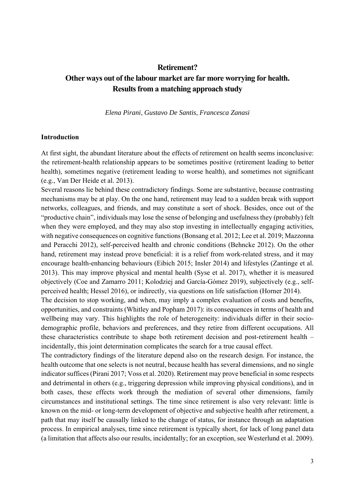### **Retirement? Other ways out of the labour market are far more worrying for health. Results from a matching approach study**

*Elena Pirani*, *Gustavo De Santis*, *Francesca Zanasi*

#### **Introduction**

At first sight, the abundant literature about the effects of retirement on health seems inconclusive: the retirement-health relationship appears to be sometimes positive (retirement leading to better health), sometimes negative (retirement leading to worse health), and sometimes not significant (e.g., Van Der Heide et al. 2013).

Several reasons lie behind these contradictory findings. Some are substantive, because contrasting mechanisms may be at play. On the one hand, retirement may lead to a sudden break with support networks, colleagues, and friends, and may constitute a sort of shock. Besides, once out of the "productive chain", individuals may lose the sense of belonging and usefulness they (probably) felt when they were employed, and they may also stop investing in intellectually engaging activities, with negative consequences on cognitive functions (Bonsang et al. 2012; Lee et al. 2019; Mazzonna and Peracchi 2012), self-perceived health and chronic conditions (Behncke 2012). On the other hand, retirement may instead prove beneficial: it is a relief from work-related stress, and it may encourage health-enhancing behaviours (Eibich 2015; Insler 2014) and lifestyles (Zantinge et al. 2013). This may improve physical and mental health (Syse et al. 2017), whether it is measured objectively (Coe and Zamarro 2011; Kolodziej and García-Gómez 2019), subjectively (e.g., selfperceived health; Hessel 2016), or indirectly, via questions on life satisfaction (Horner 2014).

The decision to stop working, and when, may imply a complex evaluation of costs and benefits, opportunities, and constraints (Whitley and Popham 2017): its consequences in terms of health and wellbeing may vary. This highlights the role of heterogeneity: individuals differ in their sociodemographic profile, behaviors and preferences, and they retire from different occupations. All these characteristics contribute to shape both retirement decision and post-retirement health – incidentally, this joint determination complicates the search for a true causal effect.

The contradictory findings of the literature depend also on the research design. For instance, the health outcome that one selects is not neutral, because health has several dimensions, and no single indicator suffices (Pirani 2017; Voss et al. 2020). Retirement may prove beneficial in some respects and detrimental in others (e.g., triggering depression while improving physical conditions), and in both cases, these effects work through the mediation of several other dimensions, family circumstances and institutional settings. The time since retirement is also very relevant: little is known on the mid- or long-term development of objective and subjective health after retirement, a path that may itself be causally linked to the change of status, for instance through an adaptation process. In empirical analyses, time since retirement is typically short, for lack of long panel data (a limitation that affects also our results, incidentally; for an exception, see Westerlund et al. 2009).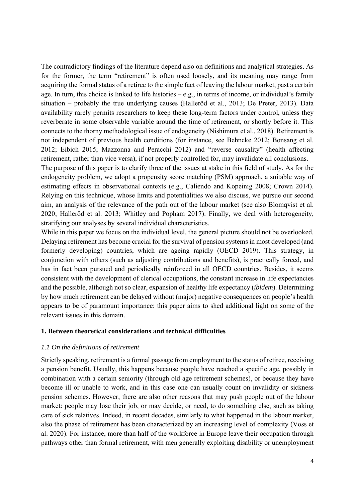The contradictory findings of the literature depend also on definitions and analytical strategies. As for the former, the term "retirement" is often used loosely, and its meaning may range from acquiring the formal status of a retiree to the simple fact of leaving the labour market, past a certain age. In turn, this choice is linked to life histories – e.g., in terms of income, or individual's family situation – probably the true underlying causes (Halleröd et al., 2013; De Preter, 2013). Data availability rarely permits researchers to keep these long-term factors under control, unless they reverberate in some observable variable around the time of retirement, or shortly before it. This connects to the thorny methodological issue of endogeneity (Nishimura et al., 2018). Retirement is not independent of previous health conditions (for instance, see Behncke 2012; Bonsang et al. 2012; Eibich 2015; Mazzonna and Peracchi 2012) and "reverse causality" (health affecting retirement, rather than vice versa), if not properly controlled for, may invalidate all conclusions.

The purpose of this paper is to clarify three of the issues at stake in this field of study. As for the endogeneity problem, we adopt a propensity score matching (PSM) approach, a suitable way of estimating effects in observational contexts (e.g., Caliendo and Kopeinig 2008; Crown 2014). Relying on this technique, whose limits and potentialities we also discuss, we pursue our second aim, an analysis of the relevance of the path out of the labour market (see also Blomqvist et al. 2020; Halleröd et al. 2013; Whitley and Popham 2017). Finally, we deal with heterogeneity, stratifying our analyses by several individual characteristics.

While in this paper we focus on the individual level, the general picture should not be overlooked. Delaying retirement has become crucial for the survival of pension systems in most developed (and formerly developing) countries, which are ageing rapidly (OECD 2019). This strategy, in conjunction with others (such as adjusting contributions and benefits), is practically forced, and has in fact been pursued and periodically reinforced in all OECD countries. Besides, it seems consistent with the development of clerical occupations, the constant increase in life expectancies and the possible, although not so clear, expansion of healthy life expectancy (*ibidem*). Determining by how much retirement can be delayed without (major) negative consequences on people's health appears to be of paramount importance: this paper aims to shed additional light on some of the relevant issues in this domain.

#### **1. Between theoretical considerations and technical difficulties**

#### *1.1 On the definitions of retirement*

Strictly speaking, retirement is a formal passage from employment to the status of retiree, receiving a pension benefit. Usually, this happens because people have reached a specific age, possibly in combination with a certain seniority (through old age retirement schemes), or because they have become ill or unable to work, and in this case one can usually count on invalidity or sickness pension schemes. However, there are also other reasons that may push people out of the labour market: people may lose their job, or may decide, or need, to do something else, such as taking care of sick relatives. Indeed, in recent decades, similarly to what happened in the labour market, also the phase of retirement has been characterized by an increasing level of complexity (Voss et al. 2020). For instance, more than half of the workforce in Europe leave their occupation through pathways other than formal retirement, with men generally exploiting disability or unemployment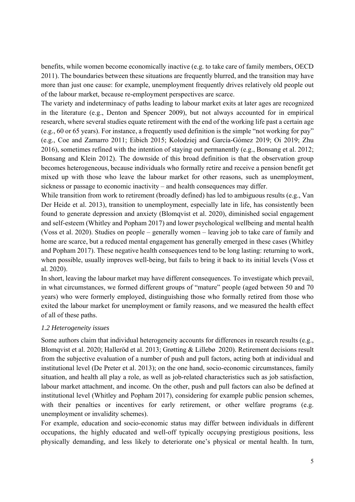benefits, while women become economically inactive (e.g. to take care of family members, OECD 2011). The boundaries between these situations are frequently blurred, and the transition may have more than just one cause: for example, unemployment frequently drives relatively old people out of the labour market, because re-employment perspectives are scarce.

The variety and indeterminacy of paths leading to labour market exits at later ages are recognized in the literature (e.g., Denton and Spencer 2009), but not always accounted for in empirical research, where several studies equate retirement with the end of the working life past a certain age (e.g., 60 or 65 years). For instance, a frequently used definition is the simple "not working for pay" (e.g., Coe and Zamarro 2011; Eibich 2015; Kolodziej and García-Gómez 2019; Oi 2019; Zhu 2016), sometimes refined with the intention of staying out permanently (e.g., Bonsang et al. 2012; Bonsang and Klein 2012). The downside of this broad definition is that the observation group becomes heterogeneous, because individuals who formally retire and receive a pension benefit get mixed up with those who leave the labour market for other reasons, such as unemployment, sickness or passage to economic inactivity – and health consequences may differ.

While transition from work to retirement (broadly defined) has led to ambiguous results (e.g., Van Der Heide et al. 2013), transition to unemployment, especially late in life, has consistently been found to generate depression and anxiety (Blomqvist et al. 2020), diminished social engagement and self-esteem (Whitley and Popham 2017) and lower psychological wellbeing and mental health (Voss et al. 2020). Studies on people – generally women – leaving job to take care of family and home are scarce, but a reduced mental engagement has generally emerged in these cases (Whitley and Popham 2017). These negative health consequences tend to be long lasting: returning to work, when possible, usually improves well-being, but fails to bring it back to its initial levels (Voss et al. 2020).

In short, leaving the labour market may have different consequences. To investigate which prevail, in what circumstances, we formed different groups of "mature" people (aged between 50 and 70 years) who were formerly employed, distinguishing those who formally retired from those who exited the labour market for unemployment or family reasons, and we measured the health effect of all of these paths.

#### *1.2 Heterogeneity issues*

Some authors claim that individual heterogeneity accounts for differences in research results (e.g., Blomqvist et al. 2020; Halleröd et al. 2013; Grøtting & Lillebø 2020). Retirement decisions result from the subjective evaluation of a number of push and pull factors, acting both at individual and institutional level (De Preter et al. 2013); on the one hand, socio-economic circumstances, family situation, and health all play a role, as well as job-related characteristics such as job satisfaction, labour market attachment, and income. On the other, push and pull factors can also be defined at institutional level (Whitley and Popham 2017), considering for example public pension schemes, with their penalties or incentives for early retirement, or other welfare programs (e.g. unemployment or invalidity schemes).

For example, education and socio-economic status may differ between individuals in different occupations, the highly educated and well-off typically occupying prestigious positions, less physically demanding, and less likely to deteriorate one's physical or mental health. In turn,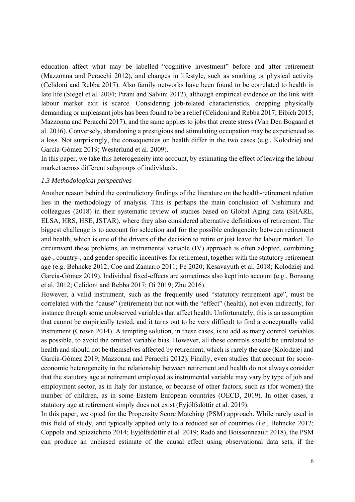education affect what may be labelled "cognitive investment" before and after retirement (Mazzonna and Peracchi 2012), and changes in lifestyle, such as smoking or physical activity (Celidoni and Rebba 2017). Also family networks have been found to be correlated to health in late life (Siegel et al. 2004; Pirani and Salvini 2012), although empirical evidence on the link with labour market exit is scarce. Considering job-related characteristics, dropping physically demanding or unpleasant jobs has been found to be a relief (Celidoni and Rebba 2017; Eibich 2015; Mazzonna and Peracchi 2017), and the same applies to jobs that create stress (Van Den Bogaard et al. 2016). Conversely, abandoning a prestigious and stimulating occupation may be experienced as a loss. Not surprisingly, the consequences on health differ in the two cases (e.g., Kolodziej and García-Gómez 2019; Westerlund et al. 2009).

In this paper, we take this heterogeneity into account, by estimating the effect of leaving the labour market across different subgroups of individuals.

#### *1.3 Methodological perspectives*

Another reason behind the contradictory findings of the literature on the health-retirement relation lies in the methodology of analysis. This is perhaps the main conclusion of Nishimura and colleagues (2018) in their systematic review of studies based on Global Aging data (SHARE, ELSA, HRS, HSE, JSTAR), where they also considered alternative definitions of retirement. The biggest challenge is to account for selection and for the possible endogeneity between retirement and health, which is one of the drivers of the decision to retire or just leave the labour market. To circumvent these problems, an instrumental variable (IV) approach is often adopted, combining age-, country-, and gender-specific incentives for retirement, together with the statutory retirement age (e.g. Behncke 2012; Coe and Zamarro 2011; Fe 2020; Kesavayuth et al. 2018; Kolodziej and García-Gómez 2019). Individual fixed-effects are sometimes also kept into account (e.g., Bonsang et al. 2012; Celidoni and Rebba 2017; Oi 2019; Zhu 2016).

However, a valid instrument, such as the frequently used "statutory retirement age", must be correlated with the "cause" (retirement) but not with the "effect" (health), not even indirectly, for instance through some unobserved variables that affect health. Unfortunately, this is an assumption that cannot be empirically tested, and it turns out to be very difficult to find a conceptually valid instrument (Crown 2014). A tempting solution, in these cases, is to add as many control variables as possible, to avoid the omitted variable bias. However, all these controls should be unrelated to health and should not be themselves affected by retirement, which is rarely the case (Kolodziej and García-Gómez 2019; Mazzonna and Peracchi 2012). Finally, even studies that account for socioeconomic heterogeneity in the relationship between retirement and health do not always consider that the statutory age at retirement employed as instrumental variable may vary by type of job and employment sector, as in Italy for instance, or because of other factors, such as (for women) the number of children, as in some Eastern European countries (OECD, 2019). In other cases, a statutory age at retirement simply does not exist (Eyjólfsdóttir et al. 2019).

In this paper, we opted for the Propensity Score Matching (PSM) approach. While rarely used in this field of study, and typically applied only to a reduced set of countries (i.e., Behncke 2012; Coppola and Spizzichino 2014; Eyjólfsdóttir et al. 2019; Radó and Boissonneault 2018), the PSM can produce an unbiased estimate of the causal effect using observational data sets, if the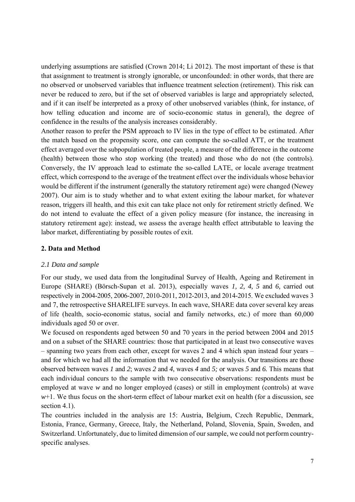underlying assumptions are satisfied (Crown 2014; Li 2012). The most important of these is that that assignment to treatment is strongly ignorable, or unconfounded: in other words, that there are no observed or unobserved variables that influence treatment selection (retirement). This risk can never be reduced to zero, but if the set of observed variables is large and appropriately selected, and if it can itself be interpreted as a proxy of other unobserved variables (think, for instance, of how telling education and income are of socio-economic status in general), the degree of confidence in the results of the analysis increases considerably.

Another reason to prefer the PSM approach to IV lies in the type of effect to be estimated. After the match based on the propensity score, one can compute the so-called ATT, or the treatment effect averaged over the subpopulation of treated people, a measure of the difference in the outcome (health) between those who stop working (the treated) and those who do not (the controls). Conversely, the IV approach lead to estimate the so-called LATE, or locale average treatment effect, which correspond to the average of the treatment effect over the individuals whose behavior would be different if the instrument (generally the statutory retirement age) were changed (Newey 2007). Our aim is to study whether and to what extent exiting the labour market, for whatever reason, triggers ill health, and this exit can take place not only for retirement strictly defined. We do not intend to evaluate the effect of a given policy measure (for instance, the increasing in statutory retirement age): instead, we assess the average health effect attributable to leaving the labor market, differentiating by possible routes of exit.

#### **2. Data and Method**

#### *2.1 Data and sample*

For our study, we used data from the longitudinal Survey of Health, Ageing and Retirement in Europe (SHARE) (Börsch-Supan et al. 2013), especially waves *1, 2, 4, 5* and *6,* carried out respectively in 2004-2005, 2006-2007, 2010-2011, 2012-2013, and 2014-2015. We excluded waves 3 and 7, the retrospective SHARELIFE surveys. In each wave, SHARE data cover several key areas of life (health, socio-economic status, social and family networks, etc.) of more than 60,000 individuals aged 50 or over.

We focused on respondents aged between 50 and 70 years in the period between 2004 and 2015 and on a subset of the SHARE countries: those that participated in at least two consecutive waves – spanning two years from each other, except for waves 2 and 4 which span instead four years – and for which we had all the information that we needed for the analysis. Our transitions are those observed between waves *1* and *2*; waves *2* and *4*, waves *4* and *5;* or waves *5* and *6.* This means that each individual concurs to the sample with two consecutive observations: respondents must be employed at wave *w* and no longer employed (cases) or still in employment (controls) at wave  $w+1$ . We thus focus on the short-term effect of labour market exit on health (for a discussion, see section 4.1).

The countries included in the analysis are 15: Austria, Belgium, Czech Republic, Denmark, Estonia, France, Germany, Greece, Italy, the Netherland, Poland, Slovenia, Spain, Sweden, and Switzerland. Unfortunately, due to limited dimension of our sample, we could not perform countryspecific analyses.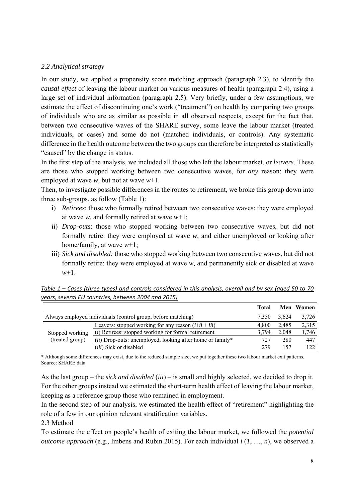#### *2.2 Analytical strategy*

In our study, we applied a propensity score matching approach (paragraph 2.3), to identify the *causal effect* of leaving the labour market on various measures of health (paragraph 2.4), using a large set of individual information (paragraph 2.5). Very briefly, under a few assumptions, we estimate the effect of discontinuing one's work ("treatment") on health by comparing two groups of individuals who are as similar as possible in all observed respects, except for the fact that, between two consecutive waves of the SHARE survey, some leave the labour market (treated individuals, or cases) and some do not (matched individuals, or controls). Any systematic difference in the health outcome between the two groups can therefore be interpreted as statistically "caused" by the change in status.

In the first step of the analysis, we included all those who left the labour market, or *leavers*. These are those who stopped working between two consecutive waves, for *any* reason: they were employed at wave *w,* but not at wave *w*+1.

Then, to investigate possible differences in the routes to retirement, we broke this group down into three sub-groups, as follow (Table 1):

- i) *Retirees*: those who formally retired between two consecutive waves: they were employed at wave *w,* and formally retired at wave *w*+1;
- ii) *Drop-outs*: those who stopped working between two consecutive waves, but did not formally retire: they were employed at wave *w,* and either unemployed or looking after home/family, at wave *w*+1;
- iii) *Sick and disabled:* those who stopped working between two consecutive waves, but did not formally retire: they were employed at wave *w,* and permanently sick or disabled at wave *w*+1.

|                                                              |                                                              | Total |       | <b>Men</b> Women |
|--------------------------------------------------------------|--------------------------------------------------------------|-------|-------|------------------|
| Always employed individuals (control group, before matching) | 7.350                                                        | 3.624 | 3,726 |                  |
|                                                              | Leavers: stopped working for any reason $(i+ii + iii)$       | 4.800 | 2.485 | 2.315            |
| Stopped working                                              | ( <i>i</i> ) Retirees: stopped working for formal retirement | 3.794 | 2.048 | 1.746            |
| (treated group)                                              | $(ii)$ Drop-outs: unemployed, looking after home or family*  | 727   | 280   | 447              |
|                                                              | <i>(iii)</i> Sick or disabled                                | 279   | 157   | 122.             |

*Table 1 – Cases (three types) and controls considered in this analysis, overall and by sex (aged 50 to 70 years, several EU countries, between 2004 and 2015)* 

\* Although some differences may exist, due to the reduced sample size, we put together these two labour market exit patterns. Source: SHARE data

As the last group – the *sick and disabled* (*iii*) – is small and highly selected, we decided to drop it. For the other groups instead we estimated the short-term health effect of leaving the labour market, keeping as a reference group those who remained in employment.

In the second step of our analysis, we estimated the health effect of "retirement" highlighting the role of a few in our opinion relevant stratification variables.

2.3 Method

To estimate the effect on people's health of exiting the labour market, we followed the *potential outcome approach* (e.g., Imbens and Rubin 2015). For each individual *i* (*1*, …, *n*), we observed a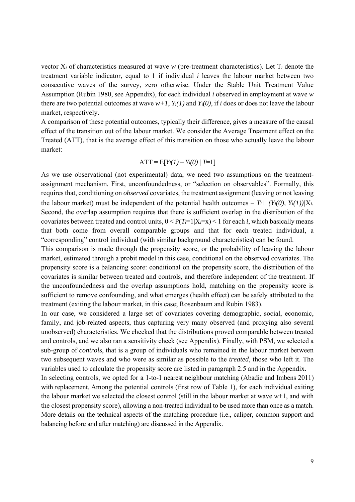vector X*i* of characteristics measured at wave *w* (pre-treatment characteristics). Let T*i* denote the treatment variable indicator, equal to 1 if individual *i* leaves the labour market between two consecutive waves of the survey, zero otherwise. Under the Stable Unit Treatment Value Assumption (Rubin 1980, see Appendix), for each individual *i* observed in employment at wave *w* there are two potential outcomes at wave  $w+1$ ,  $Y_i(1)$  and  $Y_i(0)$ , if *i* does or does not leave the labour market, respectively.

A comparison of these potential outcomes, typically their difference, gives a measure of the causal effect of the transition out of the labour market. We consider the Average Treatment effect on the Treated (ATT), that is the average effect of this transition on those who actually leave the labour market:

#### $ATT = E[Y_i(1) - Y_i(0) | T=1]$

As we use observational (not experimental) data, we need two assumptions on the treatmentassignment mechanism. First, unconfoundedness, or "selection on observables". Formally, this requires that, conditioning on *observed* covariates, the treatment assignment (leaving or not leaving the labour market) must be independent of the potential health outcomes  $- T_i \perp (Y_i(0), Y_i(1))/X_i$ . Second, the overlap assumption requires that there is sufficient overlap in the distribution of the covariates between treated and control units,  $0 \leq P(T_i=1|X_i=x) \leq 1$  for each *i*, which basically means that both come from overall comparable groups and that for each treated individual, a "corresponding" control individual (with similar background characteristics) can be found.

This comparison is made through the propensity score, or the probability of leaving the labour market, estimated through a probit model in this case, conditional on the observed covariates. The propensity score is a balancing score: conditional on the propensity score, the distribution of the covariates is similar between treated and controls, and therefore independent of the treatment. If the unconfoundedness and the overlap assumptions hold, matching on the propensity score is sufficient to remove confounding, and what emerges (health effect) can be safely attributed to the treatment (exiting the labour market, in this case; Rosenbaum and Rubin 1983).

In our case, we considered a large set of covariates covering demographic, social, economic, family, and job-related aspects, thus capturing very many observed (and proxying also several unobserved) characteristics. We checked that the distributions proved comparable between treated and controls, and we also ran a sensitivity check (see Appendix). Finally, with PSM, we selected a sub-group of *control*s, that is a group of individuals who remained in the labour market between two subsequent waves and who were as similar as possible to the *treated*, those who left it. The variables used to calculate the propensity score are listed in paragraph 2.5 and in the Appendix.

In selecting controls, we opted for a 1-to-1 nearest neighbour matching (Abadie and Imbens 2011) with replacement. Among the potential controls (first row of Table 1), for each individual exiting the labour market we selected the closest control (still in the labour market at wave *w*+1, and with the closest propensity score), allowing a non-treated individual to be used more than once as a match. More details on the technical aspects of the matching procedure (i.e., caliper, common support and balancing before and after matching) are discussed in the Appendix.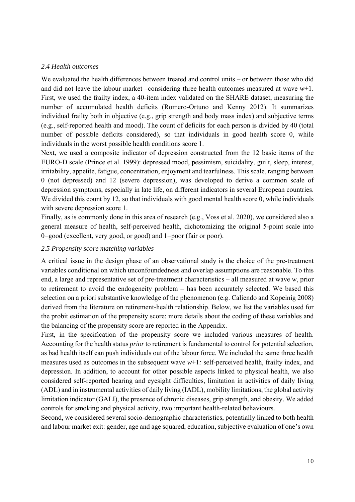#### *2.4 Health outcomes*

We evaluated the health differences between treated and control units – or between those who did and did not leave the labour market –considering three health outcomes measured at wave *w*+1. First, we used the frailty index, a 40-item index validated on the SHARE dataset, measuring the number of accumulated health deficits (Romero-Ortuno and Kenny 2012). It summarizes individual frailty both in objective (e.g., grip strength and body mass index) and subjective terms (e.g., self-reported health and mood). The count of deficits for each person is divided by 40 (total number of possible deficits considered), so that individuals in good health score 0, while individuals in the worst possible health conditions score 1.

Next, we used a composite indicator of depression constructed from the 12 basic items of the EURO-D scale (Prince et al. 1999): depressed mood, pessimism, suicidality, guilt, sleep, interest, irritability, appetite, fatigue, concentration, enjoyment and tearfulness. This scale, ranging between 0 (not depressed) and 12 (severe depression), was developed to derive a common scale of depression symptoms, especially in late life, on different indicators in several European countries. We divided this count by 12, so that individuals with good mental health score 0, while individuals with severe depression score 1.

Finally, as is commonly done in this area of research (e.g., Voss et al. 2020), we considered also a general measure of health, self-perceived health, dichotomizing the original 5-point scale into 0=good (excellent, very good, or good) and 1=poor (fair or poor).

#### *2.5 Propensity score matching variables*

A critical issue in the design phase of an observational study is the choice of the pre-treatment variables conditional on which unconfoundedness and overlap assumptions are reasonable. To this end, a large and representative set of pre-treatment characteristics – all measured at wave *w*, prior to retirement to avoid the endogeneity problem – has been accurately selected. We based this selection on a priori substantive knowledge of the phenomenon (e.g. Caliendo and Kopeinig 2008) derived from the literature on retirement-health relationship. Below, we list the variables used for the probit estimation of the propensity score: more details about the coding of these variables and the balancing of the propensity score are reported in the Appendix.

First, in the specification of the propensity score we included various measures of health. Accounting for the health status *prior* to retirement is fundamental to control for potential selection, as bad health itself can push individuals out of the labour force. We included the same three health measures used as outcomes in the subsequent wave *w*+1*:* self-perceived health, frailty index, and depression. In addition, to account for other possible aspects linked to physical health, we also considered self-reported hearing and eyesight difficulties, limitation in activities of daily living (ADL) and in instrumental activities of daily living (IADL), mobility limitations, the global activity limitation indicator (GALI), the presence of chronic diseases, grip strength, and obesity. We added controls for smoking and physical activity, two important health-related behaviours.

Second, we considered several socio-demographic characteristics, potentially linked to both health and labour market exit: gender, age and age squared, education, subjective evaluation of one's own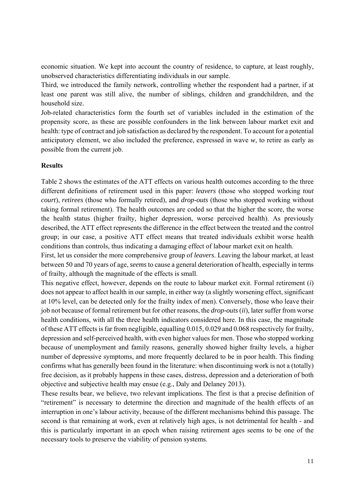economic situation. We kept into account the country of residence, to capture, at least roughly, unobserved characteristics differentiating individuals in our sample.

Third, we introduced the family network, controlling whether the respondent had a partner, if at least one parent was still alive, the number of siblings, children and grandchildren, and the household size.

Job-related characteristics form the fourth set of variables included in the estimation of the propensity score, as these are possible confounders in the link between labour market exit and health: type of contract and job satisfaction as declared by the respondent. To account for a potential anticipatory element, we also included the preference, expressed in wave *w*, to retire as early as possible from the current job.

#### **Results**

Table 2 shows the estimates of the ATT effects on various health outcomes according to the three different definitions of retirement used in this paper: *leavers* (those who stopped working *tout court*), *retirees* (those who formally retired), and *drop-outs* (those who stopped working without taking formal retirement). The health outcomes are coded so that the higher the score, the worse the health status (higher frailty, higher depression, worse perceived health). As previously described, the ATT effect represents the difference in the effect between the treated and the control group; in our case, a positive ATT effect means that treated individuals exhibit worse health conditions than controls, thus indicating a damaging effect of labour market exit on health.

First, let us consider the more comprehensive group of *leavers*. Leaving the labour market, at least between 50 and 70 years of age, *seems* to cause a general deterioration of health, especially in terms of frailty, although the magnitude of the effects is small.

This negative effect, however, depends on the route to labour market exit. Formal retirement (*i*) does not appear to affect health in our sample, in either way (a slightly worsening effect, significant at 10% level, can be detected only for the frailty index of men). Conversely, those who leave their job not because of formal retirement but for other reasons, the *drop-outs* (*ii*), later suffer from worse health conditions, with all the three health indicators considered here. In this case, the magnitude of these ATT effects is far from negligible, equalling 0.015, 0.029 and 0.068 respectively for frailty, depression and self-perceived health, with even higher values for men. Those who stopped working because of unemployment and family reasons, generally showed higher frailty levels, a higher number of depressive symptoms, and more frequently declared to be in poor health. This finding confirms what has generally been found in the literature: when discontinuing work is not a (totally) free decision, as it probably happens in these cases, distress, depression and a deterioration of both objective and subjective health may ensue (e.g., Daly and Delaney 2013).

These results bear, we believe, two relevant implications. The first is that a precise definition of "retirement" is necessary to determine the direction and magnitude of the health effects of an interruption in one's labour activity, because of the different mechanisms behind this passage. The second is that remaining at work, even at relatively high ages, is not detrimental for health - and this is particularly important in an epoch when raising retirement ages seems to be one of the necessary tools to preserve the viability of pension systems.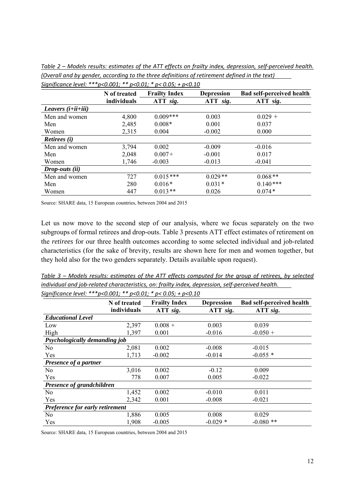|                              | N of treated | <b>Frailty Index</b> | <b>Depression</b> | <b>Bad self-perceived health</b> |
|------------------------------|--------------|----------------------|-------------------|----------------------------------|
|                              | individuals  | ATT sig.             | ATT sig.          | ATT sig.                         |
| Leavers $(i+ii+iii)$         |              |                      |                   |                                  |
| Men and women                | 4,800        | $0.009***$           | 0.003             | $0.029 +$                        |
| Men                          | 2,485        | $0.008*$             | 0.001             | 0.037                            |
| Women                        | 2,315        | 0.004                | $-0.002$          | 0.000                            |
| <b>Retirees</b> ( <i>i</i> ) |              |                      |                   |                                  |
| Men and women                | 3,794        | 0.002                | $-0.009$          | $-0.016$                         |
| Men                          | 2,048        | $0.007+$             | $-0.001$          | 0.017                            |
| Women                        | 1,746        | $-0.003$             | $-0.013$          | $-0.041$                         |
| $Drop-outs$ (ii)             |              |                      |                   |                                  |
| Men and women                | 727          | $0.015***$           | $0.029**$         | $0.068**$                        |
| Men                          | 280          | $0.016*$             | $0.031*$          | $0.140***$                       |
| Women                        | 447          | $0.013**$            | 0.026             | $0.074*$                         |

*Table 2 – Models results: estimates of the ATT effects on frailty index, depression, self‐perceived health. (Overall and by gender, according to the three definitions of retirement defined in the text) Significance level: \*\*\*p<0.001; \*\* p<0.01; \* p< 0.05; + p<0.10* 

Source: SHARE data, 15 European countries, between 2004 and 2015

Let us now move to the second step of our analysis, where we focus separately on the two subgroups of formal retirees and drop-outs. Table 3 presents ATT effect estimates of retirement on the *retirees* for our three health outcomes according to some selected individual and job-related characteristics (for the sake of brevity, results are shown here for men and women together, but they hold also for the two genders separately. Details available upon request).

*Table 3 – Models results: estimates of the ATT effects computed for the group of retirees, by selected individual and job‐related characteristics, on: frailty index, depression, self‐perceived health.* 

|                                 | N of treated | <b>Frailty Index</b> | <b>Depression</b> | <b>Bad self-perceived health</b> |
|---------------------------------|--------------|----------------------|-------------------|----------------------------------|
|                                 | individuals  | ATT sig.             | ATT sig.          | ATT sig.                         |
| <b>Educational Level</b>        |              |                      |                   |                                  |
| Low                             | 2,397        | $0.008 +$            | 0.003             | 0.039                            |
| High                            | 1,397        | 0.001                | $-0.016$          | $-0.050 +$                       |
| Psychologically demanding job   |              |                      |                   |                                  |
| No                              | 2,081        | 0.002                | $-0.008$          | $-0.015$                         |
| Yes                             | 1,713        | $-0.002$             | $-0.014$          | $-0.055*$                        |
| Presence of a partner           |              |                      |                   |                                  |
| N <sub>0</sub>                  | 3,016        | 0.002                | $-0.12$           | 0.009                            |
| Yes                             | 778          | 0.007                | 0.005             | $-0.022$                         |
| Presence of grandchildren       |              |                      |                   |                                  |
| N <sub>o</sub>                  | 1,452        | 0.002                | $-0.010$          | 0.011                            |
| Yes                             | 2,342        | 0.001                | $-0.008$          | $-0.021$                         |
| Preference for early retirement |              |                      |                   |                                  |
| No                              | 1,886        | 0.005                | 0.008             | 0.029                            |
| Yes                             | 1,908        | $-0.005$             | $-0.029*$         | $-0.080$ **                      |

*Significance level: \*\*\*p<0.001; \*\* p<0.01; \* p< 0.05; + p<0.10* 

Source: SHARE data, 15 European countries, between 2004 and 2015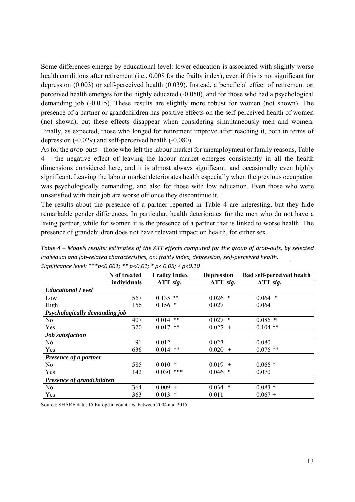Some differences emerge by educational level: lower education is associated with slightly worse health conditions after retirement (i.e., 0.008 for the frailty index), even if this is not significant for depression (0.003) or self-perceived health (0.039). Instead, a beneficial effect of retirement on perceived health emerges for the highly educated (-0.050), and for those who had a psychological demanding job (-0.015). These results are slightly more robust for women (not shown). The presence of a partner or grandchildren has positive effects on the self-perceived health of women (not shown), but these effects disappear when considering simultaneously men and women. Finally, as expected, those who longed for retirement improve after reaching it, both in terms of depression (-0.029) and self-perceived health (-0.080).

As for the *drop-outs* – those who left the labour market for unemployment or family reasons, Table 4 – the negative effect of leaving the labour market emerges consistently in all the health dimensions considered here, and it is almost always significant, and occasionally even highly significant. Leaving the labour market deteriorates health especially when the previous occupation was psychologically demanding, and also for those with low education. Even those who were unsatisfied with their job are worse off once they discontinue it.

The results about the presence of a partner reported in Table 4 are interesting, but they hide remarkable gender differences. In particular, health deteriorates for the men who do not have a living partner, while for women it is the presence of a partner that is linked to worse health. The presence of grandchildren does not have relevant impact on health, for either sex.

| <i>Siynijicunce level.</i>    | $D \setminus U \cup U \cup I$<br>USU.UI, | $\mu$ v.v., $\tau$ $\mu$ v.i.v |                   |                                  |
|-------------------------------|------------------------------------------|--------------------------------|-------------------|----------------------------------|
|                               | N of treated                             | <b>Frailty Index</b>           | <b>Depression</b> | <b>Bad self-perceived health</b> |
|                               | individuals                              | ATT sig.                       | ATT sig.          | ATT sig.                         |
| <b>Educational Level</b>      |                                          |                                |                   |                                  |
| Low                           | 567                                      | $0.135$ **                     | *<br>0.026        | $\ast$<br>0.064                  |
| High                          | 156                                      | $0.156$ *                      | 0.027             | 0.064                            |
| Psychologically demanding job |                                          |                                |                   |                                  |
| N <sub>o</sub>                | 407                                      | $***$<br>0.014                 | 0.027<br>∗        | $0.086$ *                        |
| Yes                           | 320                                      | $***$<br>0.017                 | 0.027<br>$^{+}$   | $0.104$ **                       |
| <b>Job</b> satisfaction       |                                          |                                |                   |                                  |
| N <sub>0</sub>                | 91                                       | 0.012                          | 0.023             | 0.080                            |
| Yes                           | 636                                      | **<br>0.014                    | 0.020<br>$+$      | $0.076$ **                       |
| Presence of a partner         |                                          |                                |                   |                                  |
| No                            | 585                                      | $0.010*$                       | 0.019<br>$+$      | $0.066*$                         |
| Yes                           | 142                                      | ***<br>0.030                   | 0.046<br>∗        | 0.070                            |
| Presence of grandchildren     |                                          |                                |                   |                                  |
| N <sub>o</sub>                | 364                                      | $0.009 +$                      | $\ast$<br>0.034   | $0.083*$                         |
| Yes                           | 363                                      | $0.013$ *                      | 0.011             | $0.067 +$                        |
|                               |                                          |                                |                   |                                  |

*Table 4 – Models results: estimates of the ATT effects computed for the group of drop‐outs, by selected individual and job‐related characteristics, on: frailty index, depression, self‐perceived health. Significance level: \*\*\*p<0.001; \*\* p<0.01; \* p< 0.05; + p<0.10* 

Source: SHARE data, 15 European countries, between 2004 and 2015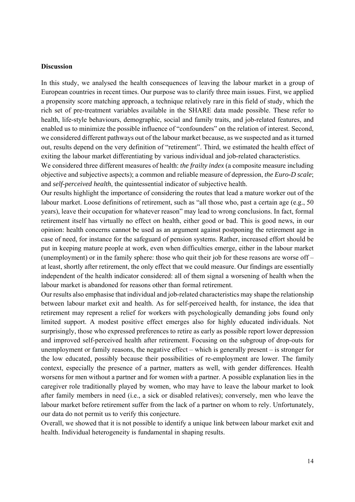#### **Discussion**

In this study, we analysed the health consequences of leaving the labour market in a group of European countries in recent times. Our purpose was to clarify three main issues. First, we applied a propensity score matching approach, a technique relatively rare in this field of study, which the rich set of pre-treatment variables available in the SHARE data made possible. These refer to health, life-style behaviours, demographic, social and family traits, and job-related features, and enabled us to minimize the possible influence of "confounders" on the relation of interest. Second, we considered different pathways out of the labour market because, as we suspected and as it turned out, results depend on the very definition of "retirement". Third, we estimated the health effect of exiting the labour market differentiating by various individual and job-related characteristics.

We considered three different measures of health: *the frailty index* (a composite measure including objective and subjective aspects); a common and reliable measure of depression, *the Euro-D scale*; and *self-perceived health*, the quintessential indicator of subjective health.

Our results highlight the importance of considering the routes that lead a mature worker out of the labour market. Loose definitions of retirement, such as "all those who, past a certain age (e.g., 50) years), leave their occupation for whatever reason" may lead to wrong conclusions. In fact, formal retirement itself has virtually no effect on health, either good or bad. This is good news, in our opinion: health concerns cannot be used as an argument against postponing the retirement age in case of need, for instance for the safeguard of pension systems. Rather, increased effort should be put in keeping mature people at work, even when difficulties emerge, either in the labour market (unemployment) or in the family sphere: those who quit their job for these reasons are worse off – at least, shortly after retirement, the only effect that we could measure. Our findings are essentially independent of the health indicator considered: all of them signal a worsening of health when the labour market is abandoned for reasons other than formal retirement.

Our results also emphasise that individual and job-related characteristics may shape the relationship between labour market exit and health. As for self-perceived health, for instance, the idea that retirement may represent a relief for workers with psychologically demanding jobs found only limited support. A modest positive effect emerges also for highly educated individuals. Not surprisingly, those who expressed preferences to retire as early as possible report lower depression and improved self-perceived health after retirement. Focusing on the subgroup of drop-outs for unemployment or family reasons, the negative effect – which is generally present – is stronger for the low educated, possibly because their possibilities of re-employment are lower. The family context, especially the presence of a partner, matters as well, with gender differences. Health worsens for men without a partner and for women *with* a partner. A possible explanation lies in the caregiver role traditionally played by women, who may have to leave the labour market to look after family members in need (i.e., a sick or disabled relatives); conversely, men who leave the labour market before retirement suffer from the lack of a partner on whom to rely. Unfortunately, our data do not permit us to verify this conjecture.

Overall, we showed that it is not possible to identify a unique link between labour market exit and health. Individual heterogeneity is fundamental in shaping results.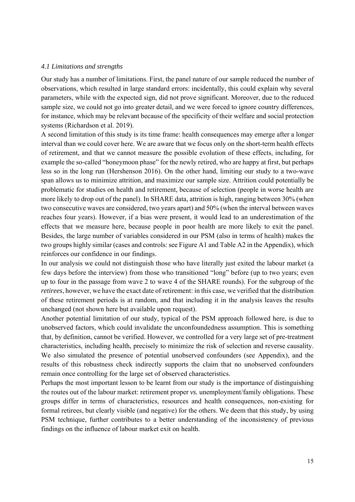#### *4.1 Limitations and strengths*

Our study has a number of limitations. First, the panel nature of our sample reduced the number of observations, which resulted in large standard errors: incidentally, this could explain why several parameters, while with the expected sign, did not prove significant. Moreover, due to the reduced sample size, we could not go into greater detail, and we were forced to ignore country differences, for instance, which may be relevant because of the specificity of their welfare and social protection systems (Richardson et al. 2019).

A second limitation of this study is its time frame: health consequences may emerge after a longer interval than we could cover here. We are aware that we focus only on the short-term health effects of retirement, and that we cannot measure the possible evolution of these effects, including, for example the so-called "honeymoon phase" for the newly retired, who are happy at first, but perhaps less so in the long run (Hershenson 2016). On the other hand, limiting our study to a two-wave span allows us to minimize attrition, and maximize our sample size. Attrition could potentially be problematic for studies on health and retirement, because of selection (people in worse health are more likely to drop out of the panel). In SHARE data, attrition is high, ranging between 30% (when two consecutive waves are considered, two years apart) and 50% (when the interval between waves reaches four years). However, if a bias were present, it would lead to an underestimation of the effects that we measure here, because people in poor health are more likely to exit the panel. Besides, the large number of variables considered in our PSM (also in terms of health) makes the two groups highly similar (cases and controls: see Figure A1 and Table A2 in the Appendix), which reinforces our confidence in our findings.

In our analysis we could not distinguish those who have literally just exited the labour market (a few days before the interview) from those who transitioned "long" before (up to two years; even up to four in the passage from wave 2 to wave 4 of the SHARE rounds). For the subgroup of the *retirees*, however, we have the exact date of retirement: in this case, we verified that the distribution of these retirement periods is at random, and that including it in the analysis leaves the results unchanged (not shown here but available upon request).

Another potential limitation of our study, typical of the PSM approach followed here, is due to unobserved factors, which could invalidate the unconfoundedness assumption. This is something that, by definition, cannot be verified. However, we controlled for a very large set of pre-treatment characteristics, including health, precisely to minimize the risk of selection and reverse causality. We also simulated the presence of potential unobserved confounders (see Appendix), and the results of this robustness check indirectly supports the claim that no unobserved confounders remain once controlling for the large set of observed characteristics.

Perhaps the most important lesson to be learnt from our study is the importance of distinguishing the routes out of the labour market: retirement proper *vs.* unemployment/family obligations. These groups differ in terms of characteristics, resources and health consequences, non-existing for formal retirees, but clearly visible (and negative) for the others. We deem that this study, by using PSM technique, further contributes to a better understanding of the inconsistency of previous findings on the influence of labour market exit on health.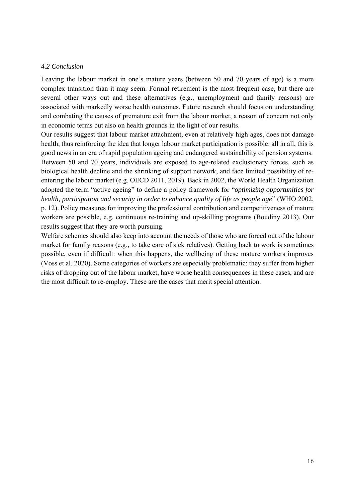#### *4.2 Conclusion*

Leaving the labour market in one's mature years (between 50 and 70 years of age) is a more complex transition than it may seem. Formal retirement is the most frequent case, but there are several other ways out and these alternatives (e.g., unemployment and family reasons) are associated with markedly worse health outcomes. Future research should focus on understanding and combating the causes of premature exit from the labour market, a reason of concern not only in economic terms but also on health grounds in the light of our results.

Our results suggest that labour market attachment, even at relatively high ages, does not damage health, thus reinforcing the idea that longer labour market participation is possible: all in all, this is good news in an era of rapid population ageing and endangered sustainability of pension systems. Between 50 and 70 years, individuals are exposed to age-related exclusionary forces, such as biological health decline and the shrinking of support network, and face limited possibility of reentering the labour market (e.g. OECD 2011, 2019). Back in 2002, the World Health Organization adopted the term "active ageing" to define a policy framework for "*optimizing opportunities for health, participation and security in order to enhance quality of life as people age*" (WHO 2002, p. 12). Policy measures for improving the professional contribution and competitiveness of mature workers are possible, e.g. continuous re-training and up-skilling programs (Boudiny 2013). Our results suggest that they are worth pursuing.

Welfare schemes should also keep into account the needs of those who are forced out of the labour market for family reasons (e.g., to take care of sick relatives). Getting back to work is sometimes possible, even if difficult: when this happens, the wellbeing of these mature workers improves (Voss et al. 2020). Some categories of workers are especially problematic: they suffer from higher risks of dropping out of the labour market, have worse health consequences in these cases, and are the most difficult to re-employ. These are the cases that merit special attention.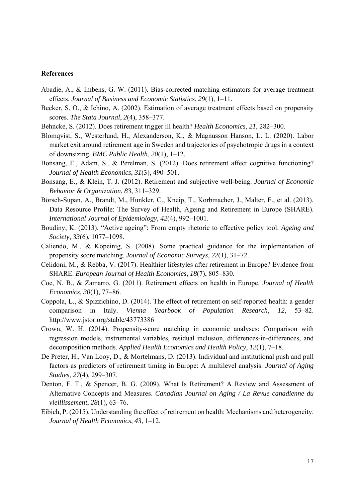#### **References**

- Abadie, A., & Imbens, G. W. (2011). Bias-corrected matching estimators for average treatment effects. *Journal of Business and Economic Statistics*, *29*(1), 1–11.
- Becker, S. O., & Ichino, A. (2002). Estimation of average treatment effects based on propensity scores. *The Stata Journal*, *2*(4), 358–377.
- Behncke, S. (2012). Does retirement trigger ill health? *Health Economics*, *21*, 282–300.
- Blomqvist, S., Westerlund, H., Alexanderson, K., & Magnusson Hanson, L. L. (2020). Labor market exit around retirement age in Sweden and trajectories of psychotropic drugs in a context of downsizing. *BMC Public Health*, *20*(1), 1–12.
- Bonsang, E., Adam, S., & Perelman, S. (2012). Does retirement affect cognitive functioning? *Journal of Health Economics*, *31*(3), 490–501.
- Bonsang, E., & Klein, T. J. (2012). Retirement and subjective well-being. *Journal of Economic Behavior & Organization*, *83*, 311–329.
- Börsch-Supan, A., Brandt, M., Hunkler, C., Kneip, T., Korbmacher, J., Malter, F., et al. (2013). Data Resource Profile: The Survey of Health, Ageing and Retirement in Europe (SHARE). *International Journal of Epidemiology*, *42*(4), 992–1001.
- Boudiny, K. (2013). "Active ageing": From empty rhetoric to effective policy tool. *Ageing and Society*, *33*(6), 1077–1098.
- Caliendo, M., & Kopeinig, S. (2008). Some practical guidance for the implementation of propensity score matching. *Journal of Economic Surveys*, *22*(1), 31–72.
- Celidoni, M., & Rebba, V. (2017). Healthier lifestyles after retirement in Europe? Evidence from SHARE. *European Journal of Health Economics*, *18*(7), 805–830.
- Coe, N. B., & Zamarro, G. (2011). Retirement effects on health in Europe. *Journal of Health Economics*, *30*(1), 77–86.
- Coppola, L., & Spizzichino, D. (2014). The effect of retirement on self-reported health: a gender comparison in Italy. *Vienna Yearbook of Population Research*, *12*, 53–82. http://www.jstor.org/stable/43773386
- Crown, W. H. (2014). Propensity-score matching in economic analyses: Comparison with regression models, instrumental variables, residual inclusion, differences-in-differences, and decomposition methods. *Applied Health Economics and Health Policy*, *12*(1), 7–18.
- De Preter, H., Van Looy, D., & Mortelmans, D. (2013). Individual and institutional push and pull factors as predictors of retirement timing in Europe: A multilevel analysis. *Journal of Aging Studies*, *27*(4), 299–307.
- Denton, F. T., & Spencer, B. G. (2009). What Is Retirement? A Review and Assessment of Alternative Concepts and Measures. *Canadian Journal on Aging / La Revue canadienne du vieillissement*, *28*(1), 63–76.
- Eibich, P. (2015). Understanding the effect of retirement on health: Mechanisms and heterogeneity. *Journal of Health Economics*, *43*, 1–12.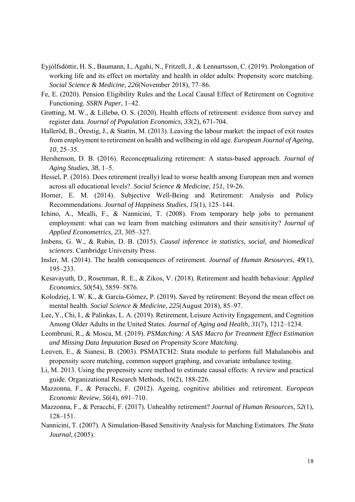- Eyjólfsdóttir, H. S., Baumann, I., Agahi, N., Fritzell, J., & Lennartsson, C. (2019). Prolongation of working life and its effect on mortality and health in older adults: Propensity score matching. *Social Science & Medicine*, *226*(November 2018), 77–86.
- Fe, E. (2020). Pension Eligibility Rules and the Local Causal Effect of Retirement on Cognitive Functioning. *SSRN Paper*, 1–42.
- Grøtting, M. W., & Lillebø, O. S. (2020). Health effects of retirement: evidence from survey and register data. *Journal of Population Economics, 33*(2), 671-704.
- Halleröd, B., Örestig, J., & Stattin, M. (2013). Leaving the labour market: the impact of exit routes from employment to retirement on health and wellbeing in old age. *European Journal of Ageing*, *10*, 25–35.
- Hershenson, D. B. (2016). Reconceptualizing retirement: A status-based approach. *Journal of Aging Studies*, *38*, 1–5.
- Hessel, P. (2016). Does retirement (really) lead to worse health among European men and women across all educational levels?. *Social Science & Medicine*, *151*, 19-26.
- Horner, E. M. (2014). Subjective Well-Being and Retirement: Analysis and Policy Recommendations. *Journal of Happiness Studies*, *15*(1), 125–144.
- Ichino, A., Mealli, F., & Nannicini, T. (2008). From temporary help jobs to permanent employment: what can we learn from matching estimators and their sensitivity? *Journal of Applied Econometrics*, *23*, 305–327.
- Imbens, G. W., & Rubin, D. B. (2015). *Causal inference in statistics, social, and biomedical sciences*. Cambridge University Press.
- Insler, M. (2014). The health consequences of retirement. *Journal of Human Resources*, *49*(1), 195–233.
- Kesavayuth, D., Rosenman, R. E., & Zikos, V. (2018). Retirement and health behaviour. *Applied Economics*, *50*(54), 5859–5876.
- Kolodziej, I. W. K., & García-Gómez, P. (2019). Saved by retirement: Beyond the mean effect on mental health. *Social Science & Medicine*, *225*(August 2018), 85–97.
- Lee, Y., Chi, I., & Palinkas, L. A. (2019). Retirement, Leisure Activity Engagement, and Cognition Among Older Adults in the United States. *Journal of Aging and Health*, *31*(7), 1212–1234.
- Leombruni, R., & Mosca, M. (2019). *PSMatching: A SAS Macro for Treatment Effect Estimation and Missing Data Imputation Based on Propensity Score Matching*.
- Leuven, E., & Sianesi, B. (2003). PSMATCH2: Stata module to perform full Mahalanobis and propensity score matching, common support graphing, and covariate imbalance testing.
- Li, M. 2013. Using the propensity score method to estimate causal effects: A review and practical guide. Organizational Research Methods, 16(2), 188-226.
- Mazzonna, F., & Peracchi, F. (2012). Ageing, cognitive abilities and retirement. *European Economic Review*, *56*(4), 691–710.
- Mazzonna, F., & Peracchi, F. (2017). Unhealthy retirement? *Journal of Human Resources*, *52*(1), 128–151.
- Nannicini, T. (2007). A Simulation-Based Sensitivity Analysis for Matching Estimators. *The Stata Journal*, (2005).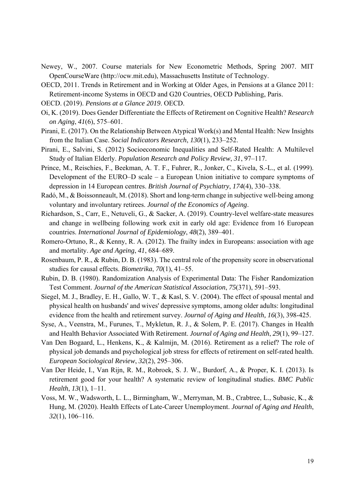- Newey, W., 2007. Course materials for New Econometric Methods, Spring 2007. MIT OpenCourseWare (http://ocw.mit.edu), Massachusetts Institute of Technology.
- OECD, 2011. Trends in Retirement and in Working at Older Ages, in Pensions at a Glance 2011: Retirement-income Systems in OECD and G20 Countries, OECD Publishing, Paris.
- OECD. (2019). *Pensions at a Glance 2019*. OECD.
- Oi, K. (2019). Does Gender Differentiate the Effects of Retirement on Cognitive Health? *Research on Aging*, *41*(6), 575–601.
- Pirani, E. (2017). On the Relationship Between Atypical Work(s) and Mental Health: New Insights from the Italian Case. *Social Indicators Research*, *130*(1), 233–252.
- Pirani, E., Salvini, S. (2012) Socioeconomic Inequalities and Self-Rated Health: A Multilevel Study of Italian Elderly. *Population Research and Policy Review*, *31*, 97–117.
- Prince, M., Reischies, F., Beekman, A. T. F., Fuhrer, R., Jonker, C., Kivela, S.-L., et al. (1999). Development of the EURO–D scale – a European Union initiative to compare symptoms of depression in 14 European centres. *British Journal of Psychiatry*, *174*(4), 330–338.
- Radó, M., & Boissonneault, M. (2018). Short and long-term change in subjective well-being among voluntary and involuntary retirees. *Journal of the Economics of Ageing*.
- Richardson, S., Carr, E., Netuveli, G., & Sacker, A. (2019). Country-level welfare-state measures and change in wellbeing following work exit in early old age: Evidence from 16 European countries. *International Journal of Epidemiology*, *48*(2), 389–401.
- Romero-Ortuno, R., & Kenny, R. A. (2012). The frailty index in Europeans: association with age and mortality. *Age and Ageing*, *41*, 684–689.
- Rosenbaum, P. R., & Rubin, D. B. (1983). The central role of the propensity score in observational studies for causal effects. *Biometrika*, *70*(1), 41–55.
- Rubin, D. B. (1980). Randomization Analysis of Experimental Data: The Fisher Randomization Test Comment. *Journal of the American Statistical Association*, *75*(371), 591–593.
- Siegel, M. J., Bradley, E. H., Gallo, W. T., & Kasl, S. V. (2004). The effect of spousal mental and physical health on husbands' and wives' depressive symptoms, among older adults: longitudinal evidence from the health and retirement survey. *Journal of Aging and Health, 16*(3), 398-425.
- Syse, A., Veenstra, M., Furunes, T., Mykletun, R. J., & Solem, P. E. (2017). Changes in Health and Health Behavior Associated With Retirement. *Journal of Aging and Health*, *29*(1), 99–127.
- Van Den Bogaard, L., Henkens, K., & Kalmijn, M. (2016). Retirement as a relief? The role of physical job demands and psychological job stress for effects of retirement on self-rated health. *European Sociological Review*, *32*(2), 295–306.
- Van Der Heide, I., Van Rijn, R. M., Robroek, S. J. W., Burdorf, A., & Proper, K. I. (2013). Is retirement good for your health? A systematic review of longitudinal studies. *BMC Public Health*, *13*(1), 1–11.
- Voss, M. W., Wadsworth, L. L., Birmingham, W., Merryman, M. B., Crabtree, L., Subasic, K., & Hung, M. (2020). Health Effects of Late-Career Unemployment. *Journal of Aging and Health*, *32*(1), 106–116.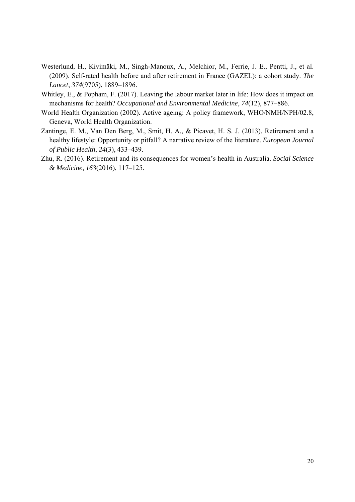- Westerlund, H., Kivimäki, M., Singh-Manoux, A., Melchior, M., Ferrie, J. E., Pentti, J., et al. (2009). Self-rated health before and after retirement in France (GAZEL): a cohort study. *The Lancet*, *374*(9705), 1889–1896.
- Whitley, E., & Popham, F. (2017). Leaving the labour market later in life: How does it impact on mechanisms for health? *Occupational and Environmental Medicine*, *74*(12), 877–886.
- World Health Organization (2002). Active ageing: A policy framework, WHO/NMH/NPH/02.8, Geneva, World Health Organization.
- Zantinge, E. M., Van Den Berg, M., Smit, H. A., & Picavet, H. S. J. (2013). Retirement and a healthy lifestyle: Opportunity or pitfall? A narrative review of the literature. *European Journal of Public Health*, *24*(3), 433–439.
- Zhu, R. (2016). Retirement and its consequences for women's health in Australia. *Social Science & Medicine*, *163*(2016), 117–125.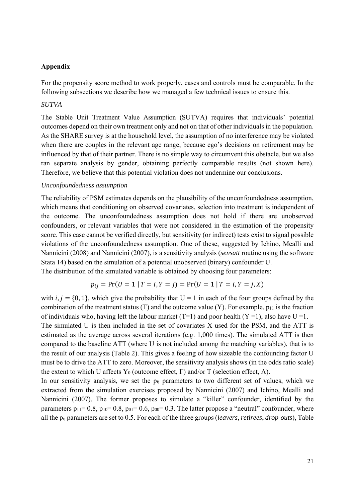#### **Appendix**

For the propensity score method to work properly, cases and controls must be comparable. In the following subsections we describe how we managed a few technical issues to ensure this.

#### *SUTVA*

The Stable Unit Treatment Value Assumption (SUTVA) requires that individuals' potential outcomes depend on their own treatment only and not on that of other individuals in the population. As the SHARE survey is at the household level, the assumption of no interference may be violated when there are couples in the relevant age range, because ego's decisions on retirement may be influenced by that of their partner. There is no simple way to circumvent this obstacle, but we also ran separate analysis by gender, obtaining perfectly comparable results (not shown here). Therefore, we believe that this potential violation does not undermine our conclusions.

#### *Unconfoundedness assumption*

The reliability of PSM estimates depends on the plausibility of the unconfoundedness assumption, which means that conditioning on observed covariates, selection into treatment is independent of the outcome. The unconfoundedness assumption does not hold if there are unobserved confounders, or relevant variables that were not considered in the estimation of the propensity score. This case cannot be verified directly, but sensitivity (or indirect) tests exist to signal possible violations of the unconfoundedness assumption. One of these, suggested by Ichino, Mealli and Nannicini (2008) and Nannicini (2007), is a sensitivity analysis (*sensatt* routine using the software Stata 14) based on the simulation of a potential unobserved (binary) confounder U.

The distribution of the simulated variable is obtained by choosing four parameters:

$$
p_{ij} = \Pr(U = 1 | T = i, Y = j) = \Pr(U = 1 | T = i, Y = j, X)
$$

with  $i, j = \{0, 1\}$ , which give the probability that  $U = 1$  in each of the four groups defined by the combination of the treatment status  $(T)$  and the outcome value  $(Y)$ . For example,  $p_{11}$  is the fraction of individuals who, having left the labour market (T=1) and poor health (Y =1), also have U =1.

The simulated U is then included in the set of covariates X used for the PSM, and the ATT is estimated as the average across several iterations (e.g. 1,000 times). The simulated ATT is then compared to the baseline ATT (where U is not included among the matching variables), that is to the result of our analysis (Table 2). This gives a feeling of how sizeable the confounding factor U must be to drive the ATT to zero. Moreover, the sensitivity analysis shows (in the odds ratio scale) the extent to which U affects Y<sub>0</sub> (outcome effect, Γ) and/or T (selection effect, Λ).

In our sensitivity analysis, we set the p<sub>ij</sub> parameters to two different set of values, which we extracted from the simulation exercises proposed by Nannicini (2007) and Ichino, Mealli and Nannicini (2007). The former proposes to simulate a "killer" confounder, identified by the parameters  $p_{11}= 0.8$ ,  $p_{10}= 0.8$ ,  $p_{01}= 0.6$ ,  $p_{00}= 0.3$ . The latter propose a "neutral" confounder, where all the pij parameters are set to 0.5. For each of the three groups (*leavers*, *retirees*, *drop-outs*), Table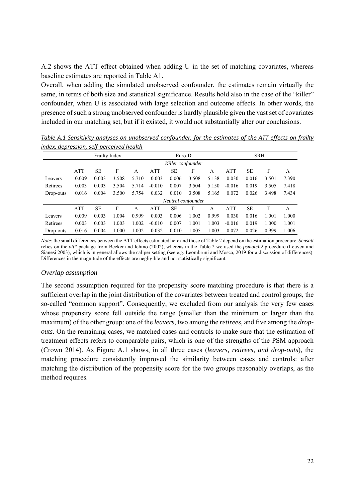A.2 shows the ATT effect obtained when adding U in the set of matching covariates, whereas baseline estimates are reported in Table A1.

Overall, when adding the simulated unobserved confounder, the estimates remain virtually the same, in terms of both size and statistical significance. Results hold also in the case of the "killer" confounder, when U is associated with large selection and outcome effects. In other words, the presence of such a strong unobserved confounder is hardly plausible given the vast set of covariates included in our matching set, but if it existed, it would not substantially alter our conclusions.

|           | <b>Frailty Index</b> |           |       |           | Euro-D     |                    |       |       | <b>SRH</b> |           |       |       |  |
|-----------|----------------------|-----------|-------|-----------|------------|--------------------|-------|-------|------------|-----------|-------|-------|--|
|           |                      |           |       |           |            | Killer confounder  |       |       |            |           |       |       |  |
|           | <b>ATT</b>           | <b>SE</b> |       | $\Lambda$ | <b>ATT</b> | SE                 |       | Λ     | <b>ATT</b> | <b>SE</b> | Г     | Λ     |  |
| Leavers   | 0.009                | 0.003     | 3.508 | 5.710     | 0.003      | 0.006              | 3.508 | 5.138 | 0.030      | 0.016     | 3.501 | 7.390 |  |
| Retirees  | 0.003                | 0.003     | 3.504 | 5.714     | $-0.010$   | 0.007              | 3.504 | 5.150 | $-0.016$   | 0.019     | 3.505 | 7.418 |  |
| Drop-outs | 0.016                | 0.004     | 3.500 | 5.754     | 0.032      | 0.010              | 3.508 | 5.165 | 0.072      | 0.026     | 3.498 | 7.434 |  |
|           |                      |           |       |           |            | Neutral confounder |       |       |            |           |       |       |  |
|           | ATT                  | <b>SE</b> | Г     | $\Lambda$ | <b>ATT</b> | SЕ                 |       | Λ     | <b>ATT</b> | <b>SE</b> | Г     | Λ     |  |
| Leavers   | 0.009                | 0.003     | 1.004 | 0.999     | 0.003      | 0.006              | 1.002 | 0.999 | 0.030      | 0.016     | 1.001 | 1.000 |  |
| Retirees  | 0.003                | 0.003     | 1.003 | 1.002     | $-0.010$   | 0.007              | 1.001 | 1.003 | $-0.016$   | 0.019     | 1.000 | 1.001 |  |
| Drop-outs | 0.016                | 0.004     | 1.000 | 1.002     | 0.032      | 0.010              | 1.005 | 1.003 | 0.072      | 0.026     | 0.999 | 1.006 |  |

*Table A.1 Sensitivity analyses on unobserved confounder, for the estimates of the ATT effects on frailty index, depression, self‐perceived health* 

*Note*: the small differences between the ATT effects estimated here and those of Table 2 depend on the estimation procedure. *Sensatt* relies on the *att\** package from Becker and Ichino (2002), whereas in the Table 2 we used the *psmatch2* procedure (Leuven and Sianesi 2003), which is in general allows the caliper setting (see e.g. Leombruni and Mosca, 2019 for a discussion of differences). Differences in the magnitude of the effects are negligible and not statistically significant.

#### *Overlap assumption*

The second assumption required for the propensity score matching procedure is that there is a sufficient overlap in the joint distribution of the covariates between treated and control groups, the so-called "common support". Consequently, we excluded from our analysis the very few cases whose propensity score fell outside the range (smaller than the minimum or larger than the maximum) of the other group: one of the *leavers,* two among the *retirees*, and five among the *dropouts*. On the remaining cases, we matched cases and controls to make sure that the estimation of treatment effects refers to comparable pairs, which is one of the strengths of the PSM approach (Crown 2014). As Figure A.1 shows, in all three cases (*leavers, retirees, and drop-outs*), the matching procedure consistently improved the similarity between cases and controls: after matching the distribution of the propensity score for the two groups reasonably overlaps, as the method requires.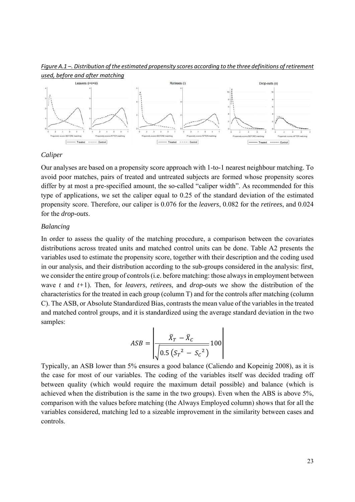

*Figure A.1 –. Distribution of the estimated propensity scores according to the three definitions of retirement used, before and after matching* 

#### *Caliper*

Our analyses are based on a propensity score approach with 1-to-1 nearest neighbour matching. To avoid poor matches, pairs of treated and untreated subjects are formed whose propensity scores differ by at most a pre-specified amount, the so-called "caliper width". As recommended for this type of applications, we set the caliper equal to 0.25 of the standard deviation of the estimated propensity score. Therefore, our caliper is 0.076 for the *leavers*, 0.082 for the *retirees*, and 0.024 for the *drop-outs*.

#### *Balancing*

In order to assess the quality of the matching procedure, a comparison between the covariates distributions across treated units and matched control units can be done. Table A2 presents the variables used to estimate the propensity score, together with their description and the coding used in our analysis, and their distribution according to the sub-groups considered in the analysis: first, we consider the entire group of controls (i.e. before matching: those always in employment between wave *t* and *t+*1). Then, for *leavers*, *retirees*, and *drop-outs* we show the distribution of the characteristics for the treated in each group (column T) and for the controls after matching (column C). The ASB, or Absolute Standardized Bias, contrasts the mean value of the variables in the treated and matched control groups, and it is standardized using the average standard deviation in the two samples:

$$
ASB = \left| \frac{\bar{X}_T - \bar{X}_C}{\sqrt{0.5(S_T^2 - S_C^2)}} 100 \right|
$$

Typically, an ASB lower than 5% ensures a good balance (Caliendo and Kopeinig 2008), as it is the case for most of our variables. The coding of the variables itself was decided trading off between quality (which would require the maximum detail possible) and balance (which is achieved when the distribution is the same in the two groups). Even when the ABS is above 5%, comparison with the values before matching (the Always Employed column) shows that for all the variables considered, matching led to a sizeable improvement in the similarity between cases and controls.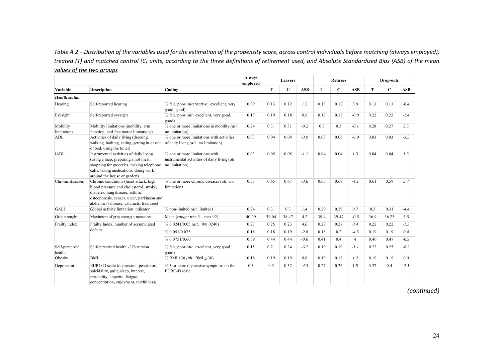#### *Table A.2 – Distribution of the variables used for the estimation of the propensity score, across control individuals before matching (always employed), treated (T) and matched control (C) units, according to the three definitions of retirement used, and Absolute Standardized Bias (ASB) of the mean values of the two groups*

|                          |                                                                                                                                                                                                                  |                                                                                                   | <b>Always</b><br>employed |       | Leavers     |            |      | <b>Retirees</b> |                |      | Drop-outs   |            |
|--------------------------|------------------------------------------------------------------------------------------------------------------------------------------------------------------------------------------------------------------|---------------------------------------------------------------------------------------------------|---------------------------|-------|-------------|------------|------|-----------------|----------------|------|-------------|------------|
| Variable                 | <b>Description</b>                                                                                                                                                                                               | Coding                                                                                            |                           | T     | $\mathbf C$ | <b>ASB</b> | T    | $\mathbf C$     | <b>ASB</b>     | T    | $\mathbf C$ | <b>ASB</b> |
| <b>Health</b> status     |                                                                                                                                                                                                                  |                                                                                                   |                           |       |             |            |      |                 |                |      |             |            |
| Hearing                  | Self-reported hearing                                                                                                                                                                                            | % fair, poor (alternative: excellent, very<br>good, good)                                         | 0.09                      | 0.13  | 0.12        | 1.5        | 0.13 | 0.12            | 3.9            | 0.13 | 0.13        | $-0.4$     |
| Eyesight                 | Self-reported eyesight                                                                                                                                                                                           | % fair, poor (alt. excellent, very good,<br>good)                                                 | 0.17                      | 0.19  | 0.18        | 0.9        | 0.17 | 0.18            | $-0.8$         | 0.22 | 0.22        | $-1.4$     |
| Mobility<br>limitations  | Mobility limitations (mobility, arm<br>function, and fine motor limitations)                                                                                                                                     | % one or more limitations in mobility (alt.<br>no limitation)                                     | 0.24                      | 0.31  | 0.31        | $-0.2$     | 0.3  | 0.3             | $-0.1$         | 0.28 | 0.27        | 3.5        |
| ADL                      | Activities of daily living (dressing,<br>walking, bathing, eating, getting in or out<br>of bed, using the toilet)                                                                                                | % one or more limitations with activities<br>of daily living (alt. no limitation)                 | 0.03                      | 0.04  | 0.04        | $-3.9$     | 0.03 | 0.05            | $-6.9$         | 0.03 | 0.03        | $-3.5$     |
| iADL                     | Instrumental activities of daily living<br>(using a map, preparing a hot meal,<br>shopping for groceries, making telephone<br>calls, taking medications, doing work<br>around the house or garden)               | % one or more limitations with<br>instrumental activities of daily living (alt.<br>no limitation) | 0.03                      | 0.05  | 0.05        | $-1.1$     | 0.04 | 0.04            | 1.5            | 0.04 | 0.04        | 1.5        |
| Chronic diseases         | Chronic conditions (heart attack, high<br>blood pressure and cholesterol, stroke,<br>diabetes, lung disease, asthma,<br>osteoporosis, cancer, ulcer, parkinson and<br>alzheimer's disease, cataracts, fractures) | $%$ one or more chronic diseases <i>(alt.</i> no<br>limitation)                                   | 0.55                      | 0.65  | 0.67        | $-3.6$     | 0.65 | 0.67            | $-4.1$         | 0.61 | 0.59        | 3.7        |
| <b>GALI</b>              | Global activity limitation indicator                                                                                                                                                                             | $%$ non-limited (alt. limited)                                                                    | 0.24                      | 0.31  | 0.3         | 1.4        | 0.29 | 0.29            | 0.7            | 0.3  | 0.31        | $-4.4$     |
| Grip strenght            | Maximum of grip strength measures                                                                                                                                                                                | Mean $(range: min 3 - max 92)$                                                                    | 40.29                     | 39.04 | 38.47       | 4.7        | 39.4 | 39.47           | $-0.6$         | 36.9 | 36.23       | 5.6        |
| Frailty index            | Frailty Index, number of accumulated                                                                                                                                                                             | $\%$ 0.0241/0.05 (alt. 0/0.0240)                                                                  | 0.27                      | 0.25  | 0.23        | 4.6        | 0.27 | 0.27            | 0.4            | 0.22 | 0.22        | $-1.3$     |
|                          | deficits                                                                                                                                                                                                         | % 0.051/0.075                                                                                     | 0.18                      | 0.18  | 0.19        | $-2.8$     | 0.18 | 0.2             | $-4.5$         | 0.19 | 0.19        | 0.4        |
|                          |                                                                                                                                                                                                                  | % 0.0751/0.60                                                                                     | 0.39                      | 0.44  | 0.44        | $-0.6$     | 0.41 | 0.4             | $\overline{4}$ | 0.46 | 0.47        | $-0.9$     |
| Self-perceived<br>health | Self-perceived health - US version                                                                                                                                                                               | % fair, poor (alt. excellent, very good,<br>good)                                                 | 0.15                      | 0.21  | 0.24        | $-6.7$     | 0.19 | 0.19            | $-1.1$         | 0.22 | 0.25        | $-8.2$     |
| Obesity                  | <b>BMI</b>                                                                                                                                                                                                       | % BMI > 30 ( <i>alt.</i> BMI $\leq$ 30)                                                           | 0.18                      | 0.19  | 0.19        | 0.8        | 0.19 | 0.18            | 1.2            | 0.19 | 0.19        | 0.0        |
| Depression               | EURO-D scale (depression, pessimism,<br>suicidality, guilt, sleep, interest,<br>irritability, appetite, fatigue,<br>concentration, enjoyment, tearfulness)                                                       | % 3 or more depressive symptoms on the<br>EURO-D scale                                            | 0.3                       | 0.3   | 0.32        | $-4.3$     | 0.27 | 0.26            | 1.5            | 0.37 | 0.4         | $-7.1$     |

*(continued)*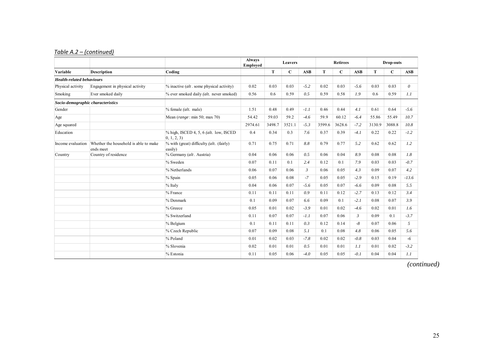#### *Table A.2 – (continued)*

|                                   |                                                    |                                                                | <b>Always</b><br>Employed | <b>Leavers</b> |             |                |        | <b>Retirees</b> |                | Drop-outs |             |            |
|-----------------------------------|----------------------------------------------------|----------------------------------------------------------------|---------------------------|----------------|-------------|----------------|--------|-----------------|----------------|-----------|-------------|------------|
| Variable                          | <b>Description</b>                                 | Coding                                                         |                           | T              | $\mathbf C$ | <b>ASB</b>     | T      | $\mathbf C$     | <b>ASB</b>     | T         | $\mathbf C$ | <b>ASB</b> |
| <b>Health-related behaviours</b>  |                                                    |                                                                |                           |                |             |                |        |                 |                |           |             |            |
| Physical activity                 | Engagement in physical activity                    | $%$ inactive ( <i>alt</i> . some physical activity)            | 0.02                      | 0.03           | 0.03        | $-5.2$         | 0.02   | 0.03            | $-5.6$         | 0.03      | 0.03        | $\theta$   |
| Smoking                           | Ever smoked daily                                  | % ever smoked daily (alt. never smoked)                        | 0.56                      | 0.6            | 0.59        | 0.5            | 0.59   | 0.58            | 1.9            | 0.6       | 0.59        | 1.1        |
| Socio-demographic characteristics |                                                    |                                                                |                           |                |             |                |        |                 |                |           |             |            |
| Gender                            |                                                    | $%$ female (alt. male)                                         | 1.51                      | 0.48           | 0.49        | $-1.1$         | 0.46   | 0.44            | 4.1            | 0.61      | 0.64        | $-5.6$     |
| Age                               |                                                    | Mean (range: min 50; max 70)                                   | 54.42                     | 59.03          | 59.2        | $-4.6$         | 59.9   | 60.12           | $-6.4$         | 55.86     | 55.49       | 10.7       |
| Age squared                       |                                                    |                                                                | 2974.61                   | 3498.7         | 3521.1      | $-5.3$         | 3599.6 | 3628.6          | $-7.2$         | 3130.9    | 3088.8      | 10.8       |
| Education                         |                                                    | % high, ISCED 4, 5, 6 (alt. low, ISCED<br>$ 0, 1, 2, 3\rangle$ | 0.4                       | 0.34           | 0.3         | 7.6            | 0.37   | 0.39            | $-4.1$         | 0.22      | 0.22        | $-1.2$     |
| Income evaluation                 | Whether the household is able to make<br>ends meet | % with (great) difficulty (alt. (fairly)<br>easily)            | 0.71                      | 0.75           | 0.71        | 8.8            | 0.79   | 0.77            | 5.2            | 0.62      | 0.62        | 1.2        |
| Country                           | Country of residence                               | % Germany (alt. Austria)                                       | 0.04                      | 0.06           | 0.06        | 0.5            | 0.06   | 0.04            | 8.9            | 0.08      | 0.08        | 1.8        |
|                                   |                                                    | % Sweden                                                       | 0.07                      | 0.11           | 0.1         | 2.4            | 0.12   | 0.1             | 7.9            | 0.03      | 0.03        | $-0.7$     |
|                                   |                                                    | % Netherlands                                                  | 0.06                      | 0.07           | 0.06        | $\mathfrak{Z}$ | 0.06   | 0.05            | 4.3            | 0.09      | 0.07        | 4.2        |
|                                   |                                                    | % Spain                                                        | 0.05                      | 0.06           | 0.08        | $-7$           | 0.05   | 0.05            | $-2.9$         | 0.15      | 0.19        | $-13.6$    |
|                                   |                                                    | $%$ Italy                                                      | 0.04                      | 0.06           | 0.07        | $-5.6$         | 0.05   | 0.07            | $-6.6$         | 0.09      | 0.08        | 5.5        |
|                                   |                                                    | % France                                                       | 0.11                      | 0.11           | 0.11        | 0.9            | 0.11   | 0.12            | $-2.7$         | 0.13      | 0.12        | 3.4        |
|                                   |                                                    | % Denmark                                                      | 0.1                       | 0.09           | 0.07        | 6.6            | 0.09   | 0.1             | $-2.1$         | 0.08      | 0.07        | 3.9        |
|                                   |                                                    | % Greece                                                       | 0.05                      | 0.01           | 0.02        | $-3.9$         | 0.01   | 0.02            | $-4.6$         | 0.02      | 0.01        | 1.6        |
|                                   |                                                    | % Switzerland                                                  | 0.11                      | 0.07           | 0.07        | $-1.1$         | 0.07   | 0.06            | $\mathfrak{Z}$ | 0.09      | 0.1         | $-3.7$     |
|                                   |                                                    | % Belgium                                                      | 0.1                       | 0.11           | 0.11        | 0.3            | 0.12   | 0.14            | $-8$           | 0.07      | 0.06        | 5          |
|                                   |                                                    | % Czech Republic                                               | 0.07                      | 0.09           | 0.08        | 5.1            | 0.1    | 0.08            | 4.8            | 0.06      | 0.05        | 5.6        |
|                                   |                                                    | % Poland                                                       | 0.01                      | 0.02           | 0.03        | $-7.8$         | 0.02   | 0.02            | $-0.8$         | 0.03      | 0.04        | $-6$       |
|                                   |                                                    | % Slovenia                                                     | 0.02                      | 0.01           | 0.01        | 0.5            | 0.01   | 0.01            | 1.1            | 0.01      | 0.02        | $-3.2$     |
|                                   |                                                    | % Estonia                                                      | 0.11                      | 0.05           | 0.06        | $-4.0$         | 0.05   | 0.05            | $-0.1$         | 0.04      | 0.04        | 1.1        |

*(continued)*